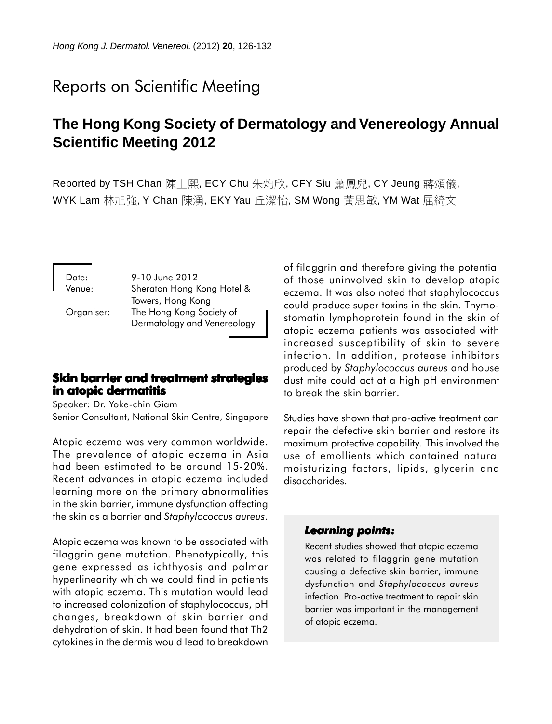# Reports on Scientific Meeting

# **The Hong Kong Society of Dermatology and Venereology Annual Scientific Meeting 2012**

Reported by TSH Chan 陳上熙, ECY Chu 朱灼欣, CFY Siu 蕭鳳兒, CY Jeung 蔣頌儀, WYK Lam 林旭強, Y Chan 陳湧, EKY Yau 丘潔怡, SM Wong 黃思敏, YM Wat 屈綺文

| Date:<br>Venue: | 9-10 June 2012<br>Sheraton Hong Kong Hotel & |
|-----------------|----------------------------------------------|
|                 | Towers, Hong Kong                            |
| Organiser:      | The Hong Kong Society of                     |
|                 | Dermatology and Venereology                  |

#### **Skin barrier and treatment strategies in atopic dermatitis**

Speaker: Dr. Yoke-chin Giam Senior Consultant, National Skin Centre, Singapore

Atopic eczema was very common worldwide. The prevalence of atopic eczema in Asia had been estimated to be around 15-20%. Recent advances in atopic eczema included learning more on the primary abnormalities in the skin barrier, immune dysfunction affecting the skin as a barrier and *Staphylococcus aureus*.

Atopic eczema was known to be associated with filaggrin gene mutation. Phenotypically, this gene expressed as ichthyosis and palmar hyperlinearity which we could find in patients with atopic eczema. This mutation would lead to increased colonization of staphylococcus, pH changes, breakdown of skin barrier and dehydration of skin. It had been found that Th2 cytokines in the dermis would lead to breakdown of filaggrin and therefore giving the potential of those uninvolved skin to develop atopic eczema. It was also noted that staphylococcus could produce super toxins in the skin. Thymostomatin lymphoprotein found in the skin of atopic eczema patients was associated with increased susceptibility of skin to severe infection. In addition, protease inhibitors produced by *Staphylococcus aureus* and house dust mite could act at a high pH environment to break the skin barrier.

Studies have shown that pro-active treatment can repair the defective skin barrier and restore its maximum protective capability. This involved the use of emollients which contained natural moisturizing factors, lipids, glycerin and disaccharides.

## *Learning points: Learning points:*

Recent studies showed that atopic eczema was related to filaggrin gene mutation causing a defective skin barrier, immune dysfunction and *Staphylococcus aureus* infection. Pro-active treatment to repair skin barrier was important in the management of atopic eczema.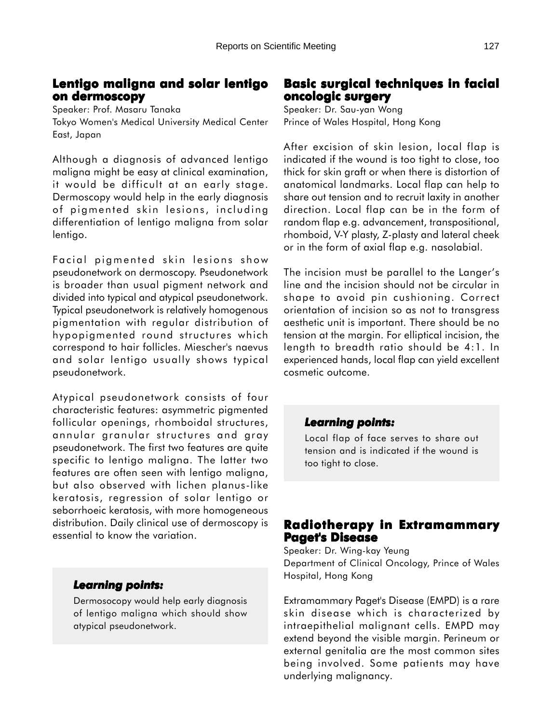## **Lentigo maligna and solar lentigo on dermoscopy**

Speaker: Prof. Masaru Tanaka Tokyo Women's Medical University Medical Center East, Japan

Although a diagnosis of advanced lentigo maligna might be easy at clinical examination, it would be difficult at an early stage. Dermoscopy would help in the early diagnosis of pigmented skin lesions, including differentiation of lentigo maligna from solar lentigo.

Facial pigmented skin lesions show pseudonetwork on dermoscopy. Pseudonetwork is broader than usual pigment network and divided into typical and atypical pseudonetwork. Typical pseudonetwork is relatively homogenous pigmentation with regular distribution of hypopigmented round structures which correspond to hair follicles. Miescher's naevus and solar lentigo usually shows typical pseudonetwork.

Atypical pseudonetwork consists of four characteristic features: asymmetric pigmented follicular openings, rhomboidal structures, annular granular structures and gray pseudonetwork. The first two features are quite specific to lentigo maligna. The latter two features are often seen with lentigo maligna, but also observed with lichen planus-like keratosis, regression of solar lentigo or seborrhoeic keratosis, with more homogeneous distribution. Daily clinical use of dermoscopy is essential to know the variation.

## *Learning points: Learning*

Dermosocopy would help early diagnosis of lentigo maligna which should show atypical pseudonetwork.

## **Basic surgical techniques in facial Basic techniques in facial oncologic surgery**

Speaker: Dr. Sau-yan Wong Prince of Wales Hospital, Hong Kong

After excision of skin lesion, local flap is indicated if the wound is too tight to close, too thick for skin graft or when there is distortion of anatomical landmarks. Local flap can help to share out tension and to recruit laxity in another direction. Local flap can be in the form of random flap e.g. advancement, transpositional, rhomboid, V-Y plasty, Z-plasty and lateral cheek or in the form of axial flap e.g. nasolabial.

The incision must be parallel to the Langer's line and the incision should not be circular in shape to avoid pin cushioning. Correct orientation of incision so as not to transgress aesthetic unit is important. There should be no tension at the margin. For elliptical incision, the length to breadth ratio should be 4:1. In experienced hands, local flap can yield excellent cosmetic outcome.

#### *Learning points: Learning points:*

Local flap of face serves to share out tension and is indicated if the wound is too tight to close.

## **Radiotherapy in Extramammary Paget's Disease**

Speaker: Dr. Wing-kay Yeung Department of Clinical Oncology, Prince of Wales Hospital, Hong Kong

Extramammary Paget's Disease (EMPD) is a rare skin disease which is characterized by intraepithelial malignant cells. EMPD may extend beyond the visible margin. Perineum or external genitalia are the most common sites being involved. Some patients may have underlying malignancy.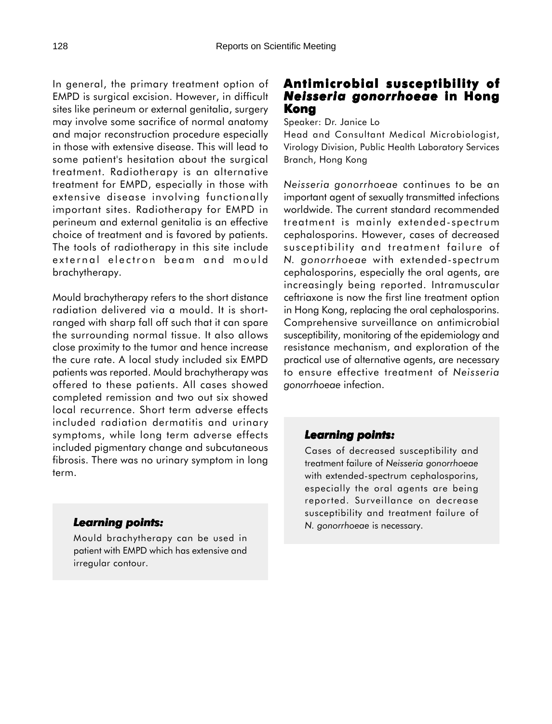In general, the primary treatment option of EMPD is surgical excision. However, in difficult sites like perineum or external genitalia, surgery may involve some sacrifice of normal anatomy and major reconstruction procedure especially in those with extensive disease. This will lead to some patient's hesitation about the surgical treatment. Radiotherapy is an alternative treatment for EMPD, especially in those with extensive disease involving functionally important sites. Radiotherapy for EMPD in perineum and external genitalia is an effective choice of treatment and is favored by patients. The tools of radiotherapy in this site include external electron beam and mould brachytherapy.

Mould brachytherapy refers to the short distance radiation delivered via a mould. It is shortranged with sharp fall off such that it can spare the surrounding normal tissue. It also allows close proximity to the tumor and hence increase the cure rate. A local study included six EMPD patients was reported. Mould brachytherapy was offered to these patients. All cases showed completed remission and two out six showed local recurrence. Short term adverse effects included radiation dermatitis and urinary symptoms, while long term adverse effects included pigmentary change and subcutaneous fibrosis. There was no urinary symptom in long term.

#### *Learning points: Learning*

Mould brachytherapy can be used in patient with EMPD which has extensive and irregular contour.

## **Antimicrobial susceptibility of Antimicrobial susceptibility of** *Neisseria gonorrhoeae* **in Hong Kong**

Speaker: Dr. Janice Lo

Head and Consultant Medical Microbiologist, Virology Division, Public Health Laboratory Services Branch, Hong Kong

*Neisseria gonorrhoeae* continues to be an important agent of sexually transmitted infections worldwide. The current standard recommended treatment is mainly extended-spectrum cephalosporins. However, cases of decreased susceptibility and treatment failure of *N. gonorrhoeae* with extended-spectrum cephalosporins, especially the oral agents, are increasingly being reported. Intramuscular ceftriaxone is now the first line treatment option in Hong Kong, replacing the oral cephalosporins. Comprehensive surveillance on antimicrobial susceptibility, monitoring of the epidemiology and resistance mechanism, and exploration of the practical use of alternative agents, are necessary to ensure effective treatment of *Neisseria gonorrhoeae* infection.

#### *Learning points: Learning points:*

Cases of decreased susceptibility and treatment failure of *Neisseria gonorrhoeae* with extended-spectrum cephalosporins, especially the oral agents are being reported. Surveillance on decrease susceptibility and treatment failure of *N. gonorrhoeae* is necessary.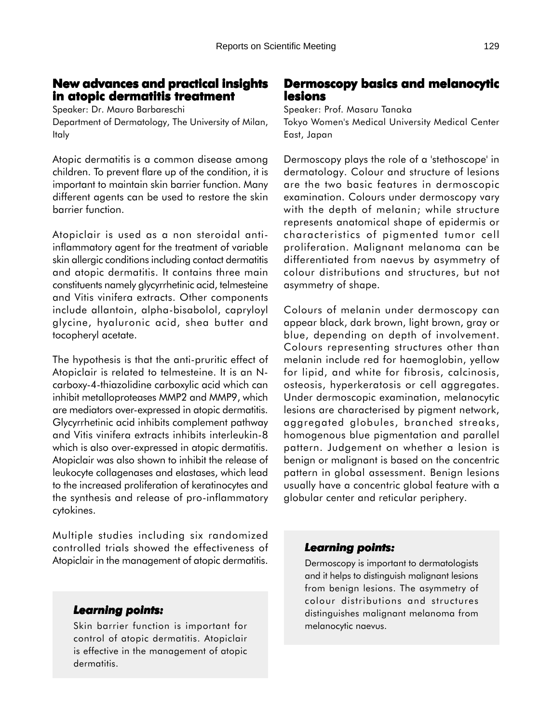## **New advances and practical insights in atopic dermatitis treatment in atopic dermatitis treatment**

Speaker: Dr. Mauro Barbareschi Department of Dermatology, The University of Milan, Italy

Atopic dermatitis is a common disease among children. To prevent flare up of the condition, it is important to maintain skin barrier function. Many different agents can be used to restore the skin barrier function.

Atopiclair is used as a non steroidal antiinflammatory agent for the treatment of variable skin allergic conditions including contact dermatitis and atopic dermatitis. It contains three main constituents namely glycyrrhetinic acid, telmesteine and Vitis vinifera extracts. Other components include allantoin, alpha-bisabolol, capryloyl glycine, hyaluronic acid, shea butter and tocopheryl acetate.

The hypothesis is that the anti-pruritic effect of Atopiclair is related to telmesteine. It is an Ncarboxy-4-thiazolidine carboxylic acid which can inhibit metalloproteases MMP2 and MMP9, which are mediators over-expressed in atopic dermatitis. Glycyrrhetinic acid inhibits complement pathway and Vitis vinifera extracts inhibits interleukin-8 which is also over-expressed in atopic dermatitis. Atopiclair was also shown to inhibit the release of leukocyte collagenases and elastases, which lead to the increased proliferation of keratinocytes and the synthesis and release of pro-inflammatory cytokines.

Multiple studies including six randomized controlled trials showed the effectiveness of Atopiclair in the management of atopic dermatitis.

## *Learning points: Learning*

Skin barrier function is important for control of atopic dermatitis. Atopiclair is effective in the management of atopic dermatitis.

## **Dermoscopy basics and melanocytic lesions**

Speaker: Prof. Masaru Tanaka Tokyo Women's Medical University Medical Center East, Japan

Dermoscopy plays the role of a 'stethoscope' in dermatology. Colour and structure of lesions are the two basic features in dermoscopic examination. Colours under dermoscopy vary with the depth of melanin; while structure represents anatomical shape of epidermis or characteristics of pigmented tumor cell proliferation. Malignant melanoma can be differentiated from naevus by asymmetry of colour distributions and structures, but not asymmetry of shape.

Colours of melanin under dermoscopy can appear black, dark brown, light brown, gray or blue, depending on depth of involvement. Colours representing structures other than melanin include red for haemoglobin, yellow for lipid, and white for fibrosis, calcinosis, osteosis, hyperkeratosis or cell aggregates. Under dermoscopic examination, melanocytic lesions are characterised by pigment network, aggregated globules, branched streaks, homogenous blue pigmentation and parallel pattern. Judgement on whether a lesion is benign or malignant is based on the concentric pattern in global assessment. Benign lesions usually have a concentric global feature with a globular center and reticular periphery.

#### *Learning points: Learning points:*

Dermoscopy is important to dermatologists and it helps to distinguish malignant lesions from benign lesions. The asymmetry of colour distributions and structures distinguishes malignant melanoma from melanocytic naevus.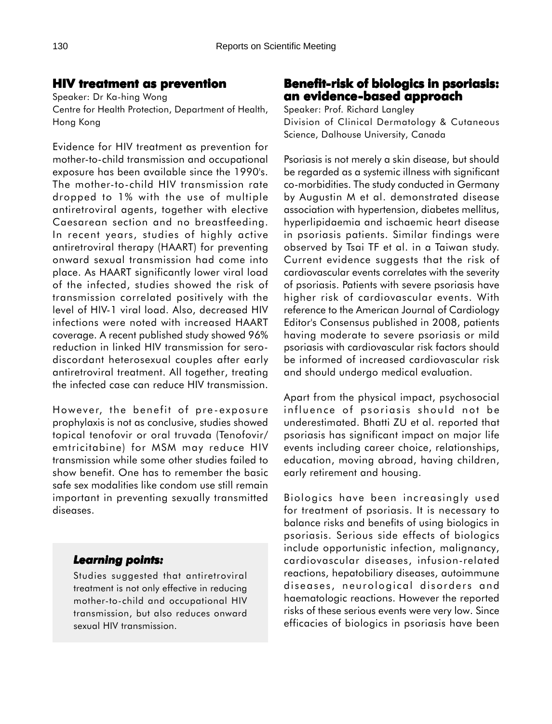## **HIV treatment as prevention**

Speaker: Dr Ka-hing Wong Centre for Health Protection, Department of Health, Hong Kong

Evidence for HIV treatment as prevention for mother-to-child transmission and occupational exposure has been available since the 1990's. The mother-to-child HIV transmission rate dropped to 1% with the use of multiple antiretroviral agents, together with elective Caesarean section and no breastfeeding. In recent years, studies of highly active antiretroviral therapy (HAART) for preventing onward sexual transmission had come into place. As HAART significantly lower viral load of the infected, studies showed the risk of transmission correlated positively with the level of HIV-1 viral load. Also, decreased HIV infections were noted with increased HAART coverage. A recent published study showed 96% reduction in linked HIV transmission for serodiscordant heterosexual couples after early antiretroviral treatment. All together, treating the infected case can reduce HIV transmission.

However, the benefit of pre-exposure prophylaxis is not as conclusive, studies showed topical tenofovir or oral truvada (Tenofovir/ emtricitabine) for MSM may reduce HIV transmission while some other studies failed to show benefit. One has to remember the basic safe sex modalities like condom use still remain important in preventing sexually transmitted diseases.

## *Learning points: Learning*

Studies suggested that antiretroviral treatment is not only effective in reducing mother-to-child and occupational HIV transmission, but also reduces onward sexual HIV transmission.

## **Benefit Benefit-risk of biologics in psoriasis: -risk of in psoriasis: an evidence-based approach**

Speaker: Prof. Richard Langley Division of Clinical Dermatology & Cutaneous Science, Dalhouse University, Canada

Psoriasis is not merely a skin disease, but should be regarded as a systemic illness with significant co-morbidities. The study conducted in Germany by Augustin M et al. demonstrated disease association with hypertension, diabetes mellitus, hyperlipidaemia and ischaemic heart disease in psoriasis patients. Similar findings were observed by Tsai TF et al. in a Taiwan study. Current evidence suggests that the risk of cardiovascular events correlates with the severity of psoriasis. Patients with severe psoriasis have higher risk of cardiovascular events. With reference to the American Journal of Cardiology Editor's Consensus published in 2008, patients having moderate to severe psoriasis or mild psoriasis with cardiovascular risk factors should be informed of increased cardiovascular risk and should undergo medical evaluation.

Apart from the physical impact, psychosocial influence of psoriasis should not be underestimated. Bhatti ZU et al. reported that psoriasis has significant impact on major life events including career choice, relationships, education, moving abroad, having children, early retirement and housing.

Biologics have been increasingly used for treatment of psoriasis. It is necessary to balance risks and benefits of using biologics in psoriasis. Serious side effects of biologics include opportunistic infection, malignancy, cardiovascular diseases, infusion-related reactions, hepatobiliary diseases, autoimmune diseases, neurological disorders and haematologic reactions. However the reported risks of these serious events were very low. Since efficacies of biologics in psoriasis have been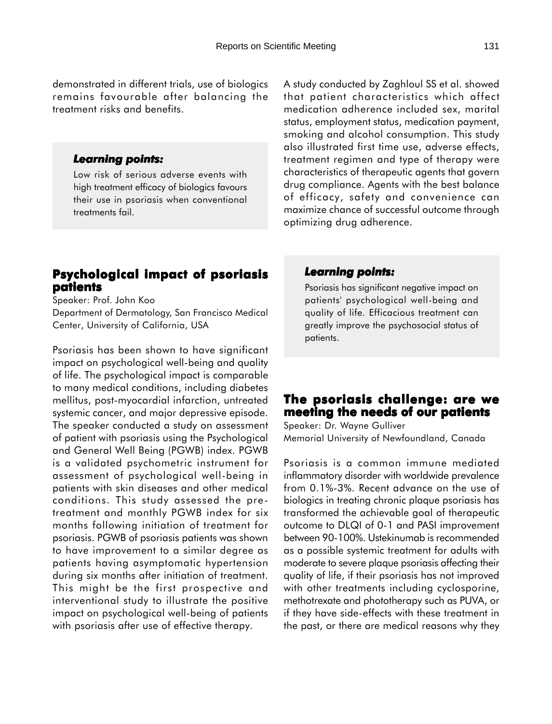demonstrated in different trials, use of biologics remains favourable after balancing the treatment risks and benefits.

#### *Learning points: Learning*

Low risk of serious adverse events with high treatment efficacy of biologics favours their use in psoriasis when conventional treatments fail.

A study conducted by Zaghloul SS et al. showed that patient characteristics which affect medication adherence included sex, marital status, employment status, medication payment, smoking and alcohol consumption. This study also illustrated first time use, adverse effects, treatment regimen and type of therapy were characteristics of therapeutic agents that govern drug compliance. Agents with the best balance of efficacy, safety and convenience can maximize chance of successful outcome through optimizing drug adherence.

## **Psychological impact of psoriasis patients**

Speaker: Prof. John Koo Department of Dermatology, San Francisco Medical Center, University of California, USA

Psoriasis has been shown to have significant impact on psychological well-being and quality of life. The psychological impact is comparable to many medical conditions, including diabetes mellitus, post-myocardial infarction, untreated systemic cancer, and major depressive episode. The speaker conducted a study on assessment of patient with psoriasis using the Psychological and General Well Being (PGWB) index. PGWB is a validated psychometric instrument for assessment of psychological well-being in patients with skin diseases and other medical conditions. This study assessed the pretreatment and monthly PGWB index for six months following initiation of treatment for psoriasis. PGWB of psoriasis patients was shown to have improvement to a similar degree as patients having asymptomatic hypertension during six months after initiation of treatment. This might be the first prospective and interventional study to illustrate the positive impact on psychological well-being of patients with psoriasis after use of effective therapy.

#### *Learning points: Learning points:*

Psoriasis has significant negative impact on patients' psychological well-being and quality of life. Efficacious treatment can greatly improve the psychosocial status of patients.

## **The psoriasis challenge: are we meeting the needs of our patients**

Speaker: Dr. Wayne Gulliver Memorial University of Newfoundland, Canada

Psoriasis is a common immune mediated inflammatory disorder with worldwide prevalence from 0.1%-3%. Recent advance on the use of biologics in treating chronic plaque psoriasis has transformed the achievable goal of therapeutic outcome to DLQI of 0-1 and PASI improvement between 90-100%. Ustekinumab is recommended as a possible systemic treatment for adults with moderate to severe plaque psoriasis affecting their quality of life, if their psoriasis has not improved with other treatments including cyclosporine, methotrexate and phototherapy such as PUVA, or if they have side-effects with these treatment in the past, or there are medical reasons why they